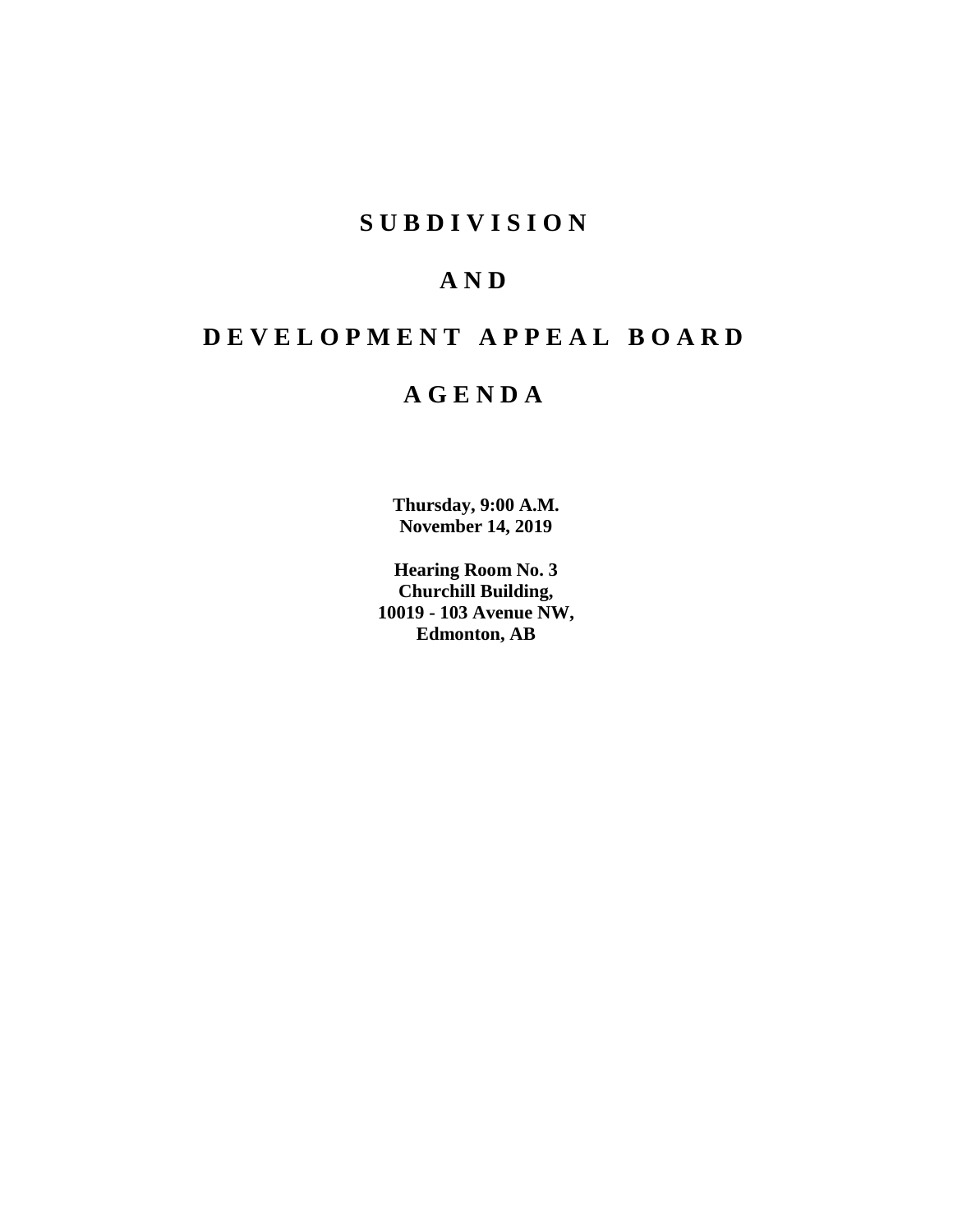# **SUBDIVISION**

# **AND**

# **DEVELOPMENT APPEAL BOARD**

# **AGENDA**

**Thursday, 9:00 A.M. November 14, 2019**

**Hearing Room No. 3 Churchill Building, 10019 - 103 Avenue NW, Edmonton, AB**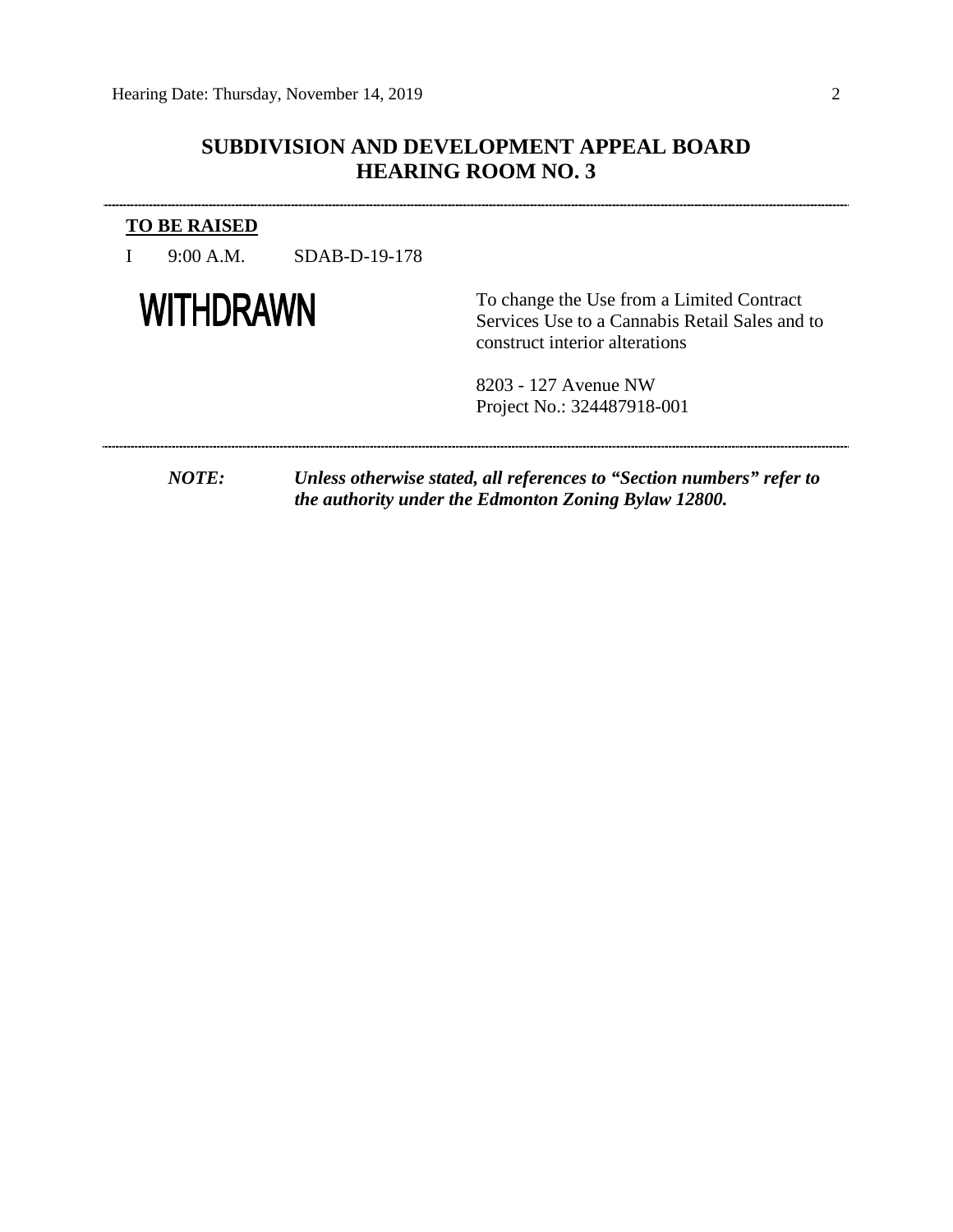# **SUBDIVISION AND DEVELOPMENT APPEAL BOARD HEARING ROOM NO. 3**

# **TO BE RAISED**

I 9:00 A.M. SDAB-D-19-178

# **WITHDRAWN**

To change the Use from a Limited Contract Services Use to a Cannabis Retail Sales and to construct interior alterations

8203 - 127 Avenue NW Project No.: 324487918-001

*NOTE: Unless otherwise stated, all references to "Section numbers" refer to the authority under the Edmonton Zoning Bylaw 12800.*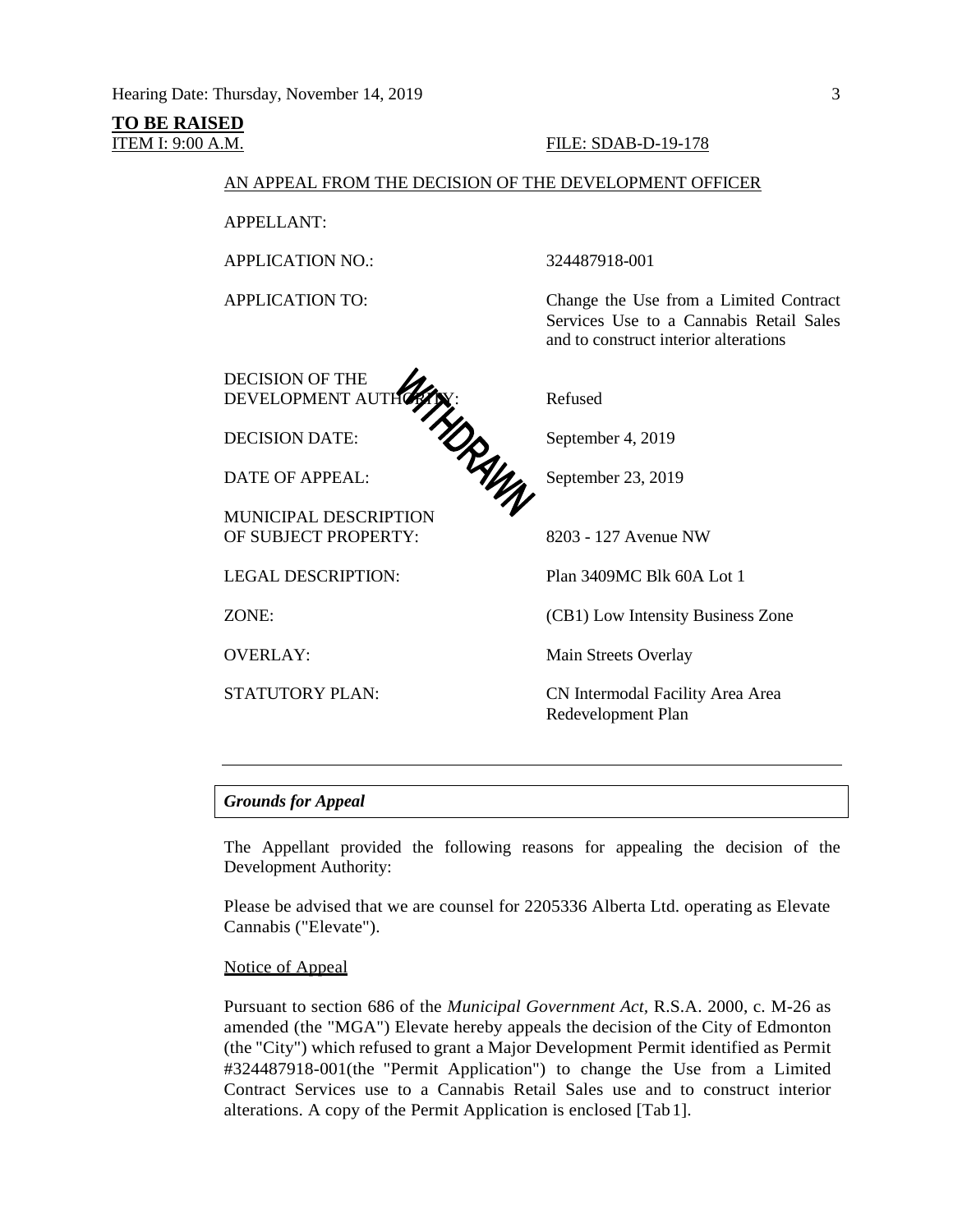# **TO BE RAISED**

## ITEM I: 9:00 A.M. FILE: SDAB-D-19-178

# AN APPEAL FROM THE DECISION OF THE DEVELOPMENT OFFICER

APPELLANT:

APPLICATION NO.: 324487918-001

DECISION OF THE DEVELOPMENT AUTHORITY: Refused

DECISION DATE: September 4, 2019

DATE OF APPEAL: September 23, 2019

MUNICIPAL DESCRIPTION OF SUBJECT PROPERTY: 8203 - 127 Avenue NW

APPLICATION TO: Change the Use from a Limited Contract Services Use to a Cannabis Retail Sales and to construct interior alterations

LEGAL DESCRIPTION: Plan 3409MC Blk 60A Lot 1

ZONE: (CB1) Low Intensity Business Zone

OVERLAY: Main Streets Overlay

STATUTORY PLAN: CN Intermodal Facility Area Area Redevelopment Plan

## *Grounds for Appeal*

The Appellant provided the following reasons for appealing the decision of the Development Authority:

Please be advised that we are counsel for 2205336 Alberta Ltd. operating as Elevate Cannabis ("Elevate").

# Notice of Appeal

Pursuant to section 686 of the *Municipal Government Act,* R.S.A. 2000, c. M-26 as amended (the "MGA") Elevate hereby appeals the decision of the City of Edmonton (the "City") which refused to grant a Major Development Permit identified as Permit #324487918-001(the "Permit Application") to change the Use from a Limited Contract Services use to a Cannabis Retail Sales use and to construct interior alterations. A copy of the Permit Application is enclosed [Tab1].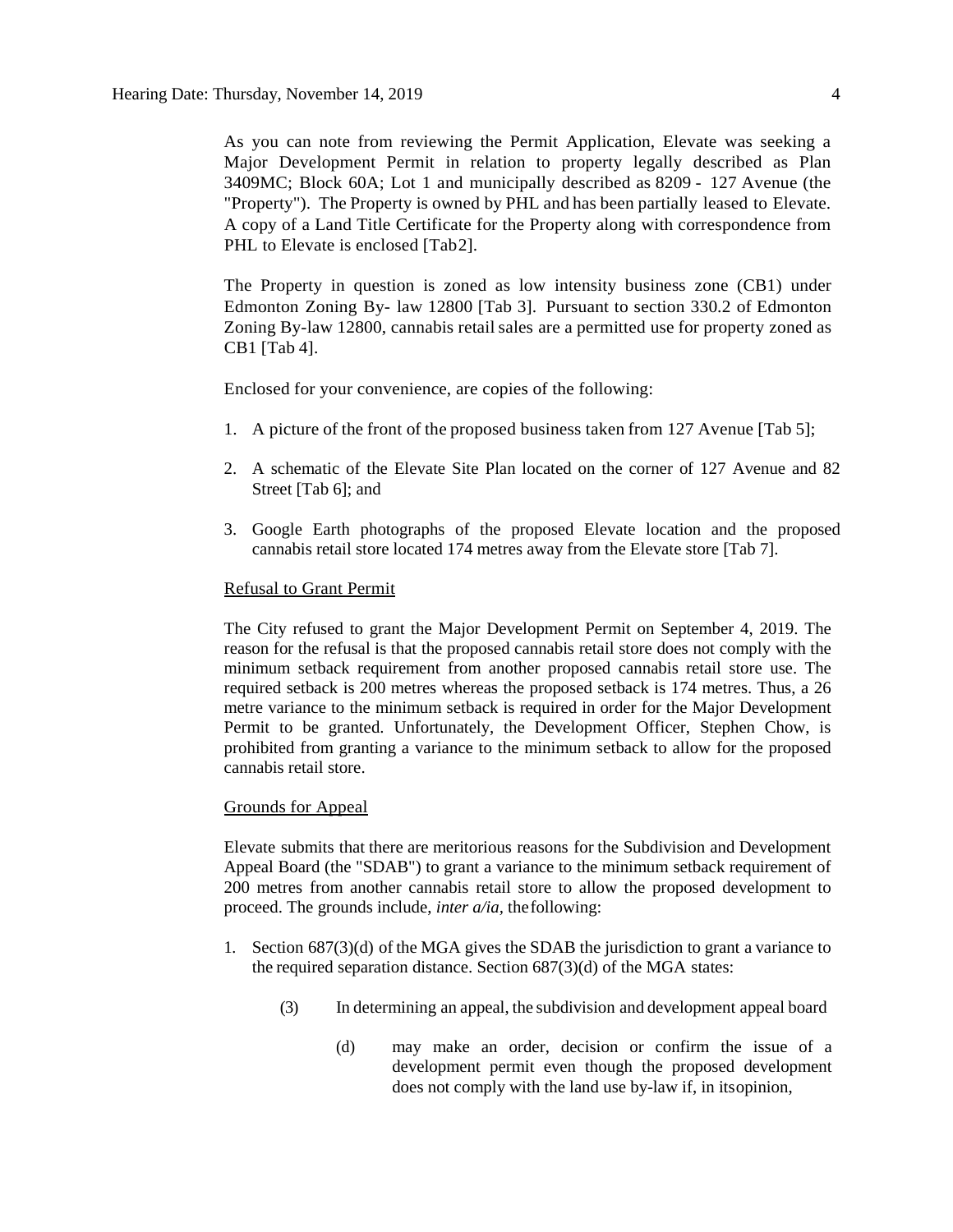As you can note from reviewing the Permit Application, Elevate was seeking a Major Development Permit in relation to property legally described as Plan 3409MC; Block 60A; Lot 1 and municipally described as 8209 - 127 Avenue (the "Property"). The Property is owned by PHL and has been partially leased to Elevate. A copy of a Land Title Certificate for the Property along with correspondence from PHL to Elevate is enclosed [Tab2].

The Property in question is zoned as low intensity business zone (CB1) under Edmonton Zoning By- law 12800 [Tab 3]. Pursuant to section 330.2 of Edmonton Zoning By-law 12800, cannabis retail sales are a permitted use for property zoned as CB1 [Tab 4].

Enclosed for your convenience, are copies of the following:

- 1. A picture of the front of the proposed business taken from 127 Avenue [Tab 5];
- 2. A schematic of the Elevate Site Plan located on the corner of 127 Avenue and 82 Street [Tab 6]; and
- 3. Google Earth photographs of the proposed Elevate location and the proposed cannabis retail store located 174 metres away from the Elevate store [Tab 7].

## Refusal to Grant Permit

The City refused to grant the Major Development Permit on September 4, 2019. The reason for the refusal is that the proposed cannabis retail store does not comply with the minimum setback requirement from another proposed cannabis retail store use. The required setback is 200 metres whereas the proposed setback is 174 metres. Thus, a 26 metre variance to the minimum setback is required in order for the Major Development Permit to be granted. Unfortunately, the Development Officer, Stephen Chow, is prohibited from granting a variance to the minimum setback to allow for the proposed cannabis retail store.

#### Grounds for Appeal

Elevate submits that there are meritorious reasons for the Subdivision and Development Appeal Board (the "SDAB") to grant a variance to the minimum setback requirement of 200 metres from another cannabis retail store to allow the proposed development to proceed. The grounds include, *inter a/ia,* thefollowing:

- 1. Section  $687(3)(d)$  of the MGA gives the SDAB the jurisdiction to grant a variance to the required separation distance. Section 687(3)(d) of the MGA states:
	- (3) In determining an appeal, the subdivision and development appeal board
		- (d) may make an order, decision or confirm the issue of a development permit even though the proposed development does not comply with the land use by-law if, in itsopinion,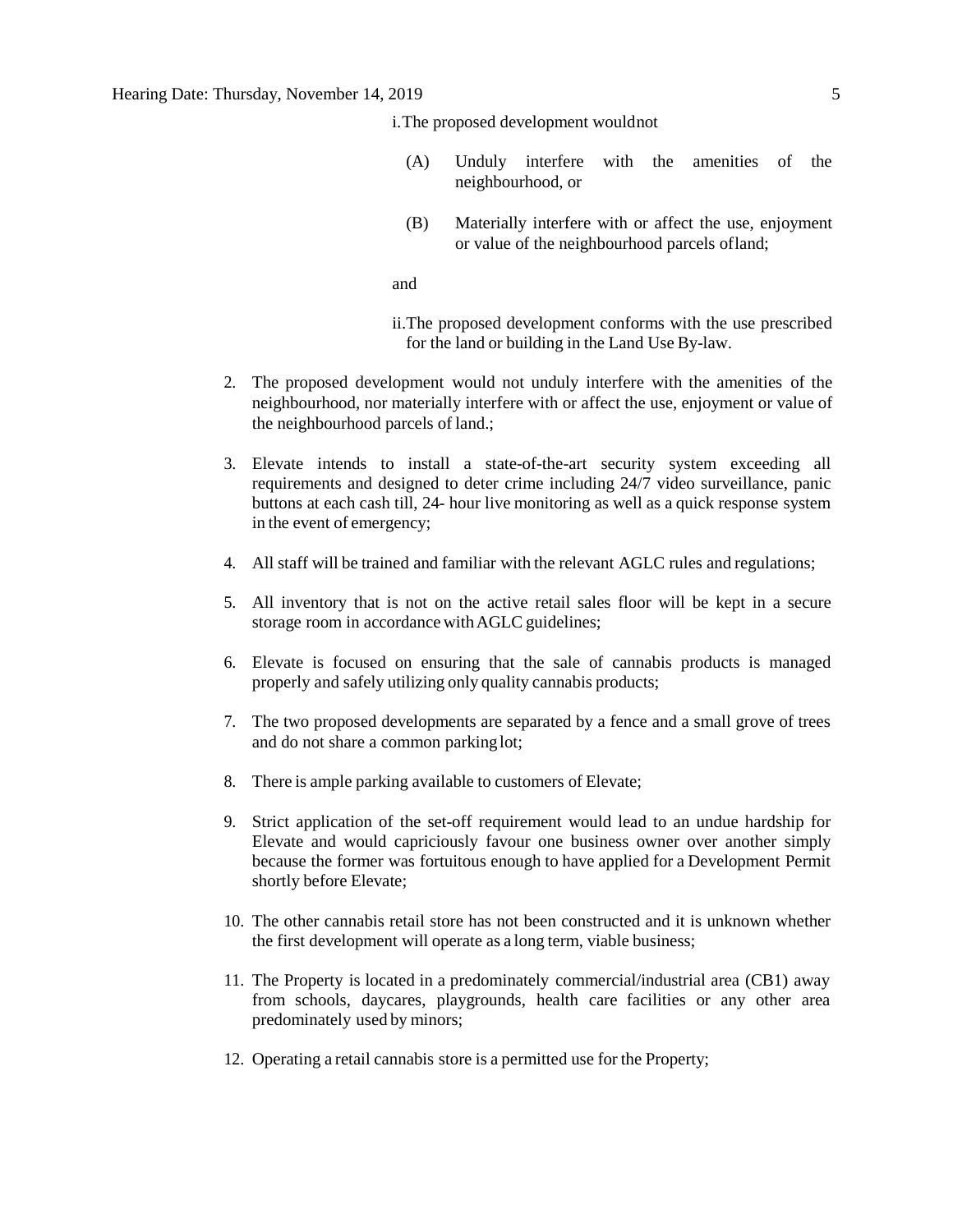i.The proposed development wouldnot

- (A) Unduly interfere with the amenities of the neighbourhood, or
- (B) Materially interfere with or affect the use, enjoyment or value of the neighbourhood parcels ofland;

and

ii.The proposed development conforms with the use prescribed for the land or building in the Land Use By-law.

- 2. The proposed development would not unduly interfere with the amenities of the neighbourhood, nor materially interfere with or affect the use, enjoyment or value of the neighbourhood parcels of land.;
- 3. Elevate intends to install a state-of-the-art security system exceeding all requirements and designed to deter crime including 24/7 video surveillance, panic buttons at each cash till, 24- hour live monitoring as well as a quick response system in the event of emergency;
- 4. All staff will be trained and familiar with the relevant AGLC rules and regulations;
- 5. All inventory that is not on the active retail sales floor will be kept in a secure storage room in accordance withAGLC guidelines;
- 6. Elevate is focused on ensuring that the sale of cannabis products is managed properly and safely utilizing only quality cannabis products;
- 7. The two proposed developments are separated by a fence and a small grove of trees and do not share a common parkinglot;
- 8. There is ample parking available to customers of Elevate;
- 9. Strict application of the set-off requirement would lead to an undue hardship for Elevate and would capriciously favour one business owner over another simply because the former was fortuitous enough to have applied for a Development Permit shortly before Elevate;
- 10. The other cannabis retail store has not been constructed and it is unknown whether the first development will operate as a long term, viable business;
- 11. The Property is located in a predominately commercial/industrial area (CB1) away from schools, daycares, playgrounds, health care facilities or any other area predominately used by minors;
- 12. Operating a retail cannabis store is a permitted use for the Property;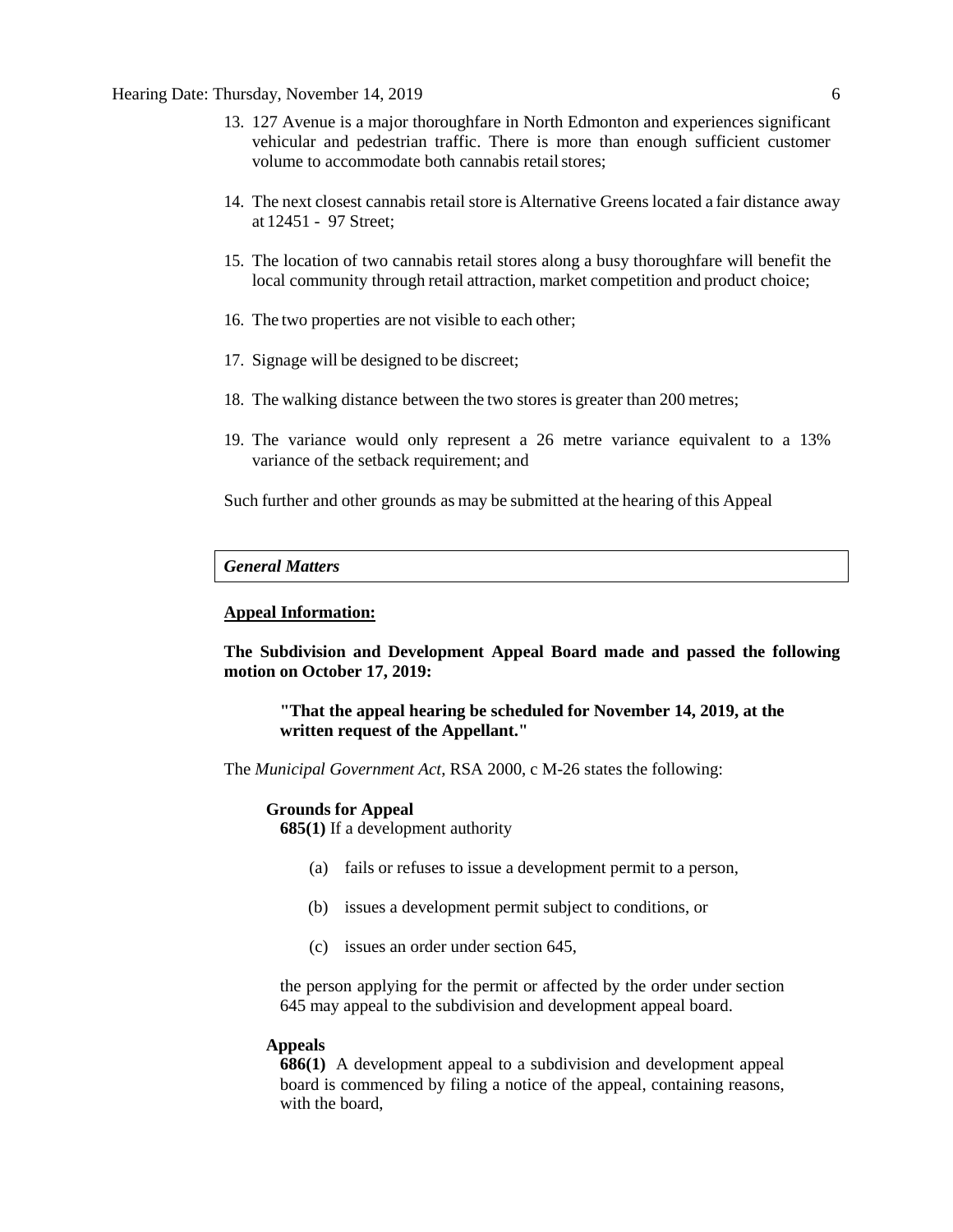#### Hearing Date: Thursday, November 14, 2019 6

- 13. 127 Avenue is a major thoroughfare in North Edmonton and experiences significant vehicular and pedestrian traffic. There is more than enough sufficient customer volume to accommodate both cannabis retail stores:
- 14. The next closest cannabis retail store is Alternative Greens located a fair distance away at 12451 - 97 Street;
- 15. The location of two cannabis retail stores along a busy thoroughfare will benefit the local community through retail attraction, market competition and product choice;
- 16. The two properties are not visible to each other;
- 17. Signage will be designed to be discreet;
- 18. The walking distance between the two stores is greater than 200 metres;
- 19. The variance would only represent a 26 metre variance equivalent to a 13% variance of the setback requirement; and

Such further and other grounds as may be submitted at the hearing of this Appeal

#### *General Matters*

## **Appeal Information:**

**The Subdivision and Development Appeal Board made and passed the following motion on October 17, 2019:** 

**"That the appeal hearing be scheduled for November 14, 2019, at the written request of the Appellant."**

The *Municipal Government Act*, RSA 2000, c M-26 states the following:

#### **Grounds for Appeal**

**685(1)** If a development authority

- (a) fails or refuses to issue a development permit to a person,
- (b) issues a development permit subject to conditions, or
- (c) issues an order under section 645,

the person applying for the permit or affected by the order under section 645 may appeal to the subdivision and development appeal board.

#### **Appeals**

**686(1)** A development appeal to a subdivision and development appeal board is commenced by filing a notice of the appeal, containing reasons, with the board,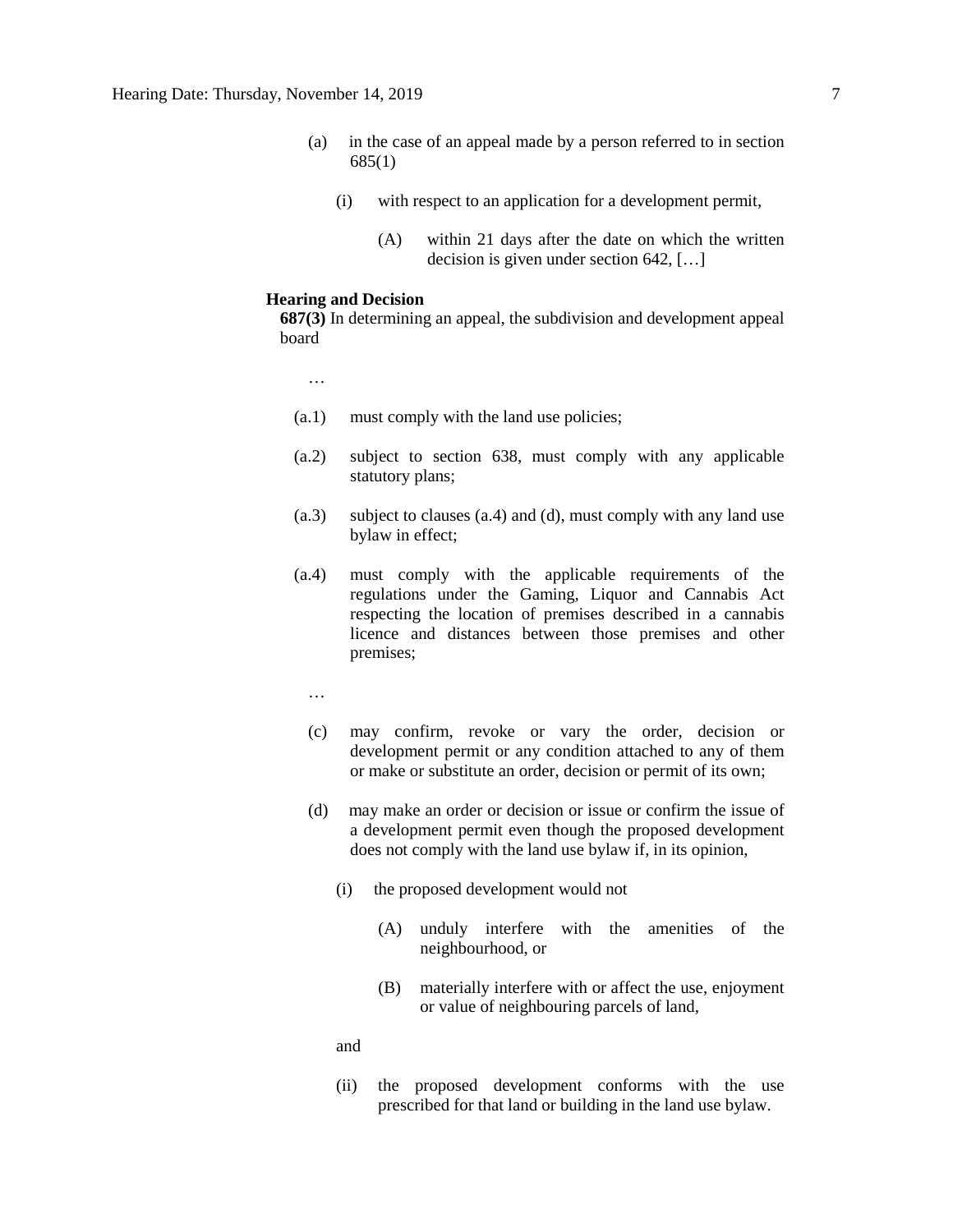- (a) in the case of an appeal made by a person referred to in section 685(1)
	- (i) with respect to an application for a development permit,
		- (A) within 21 days after the date on which the written decision is given under section 642, […]

## **Hearing and Decision**

**687(3)** In determining an appeal, the subdivision and development appeal board

…

- (a.1) must comply with the land use policies;
- (a.2) subject to section 638, must comply with any applicable statutory plans;
- (a.3) subject to clauses (a.4) and (d), must comply with any land use bylaw in effect;
- (a.4) must comply with the applicable requirements of the regulations under the Gaming, Liquor and Cannabis Act respecting the location of premises described in a cannabis licence and distances between those premises and other premises;
	- …
	- (c) may confirm, revoke or vary the order, decision or development permit or any condition attached to any of them or make or substitute an order, decision or permit of its own;
	- (d) may make an order or decision or issue or confirm the issue of a development permit even though the proposed development does not comply with the land use bylaw if, in its opinion,
		- (i) the proposed development would not
			- (A) unduly interfere with the amenities of the neighbourhood, or
			- (B) materially interfere with or affect the use, enjoyment or value of neighbouring parcels of land,

and

(ii) the proposed development conforms with the use prescribed for that land or building in the land use bylaw.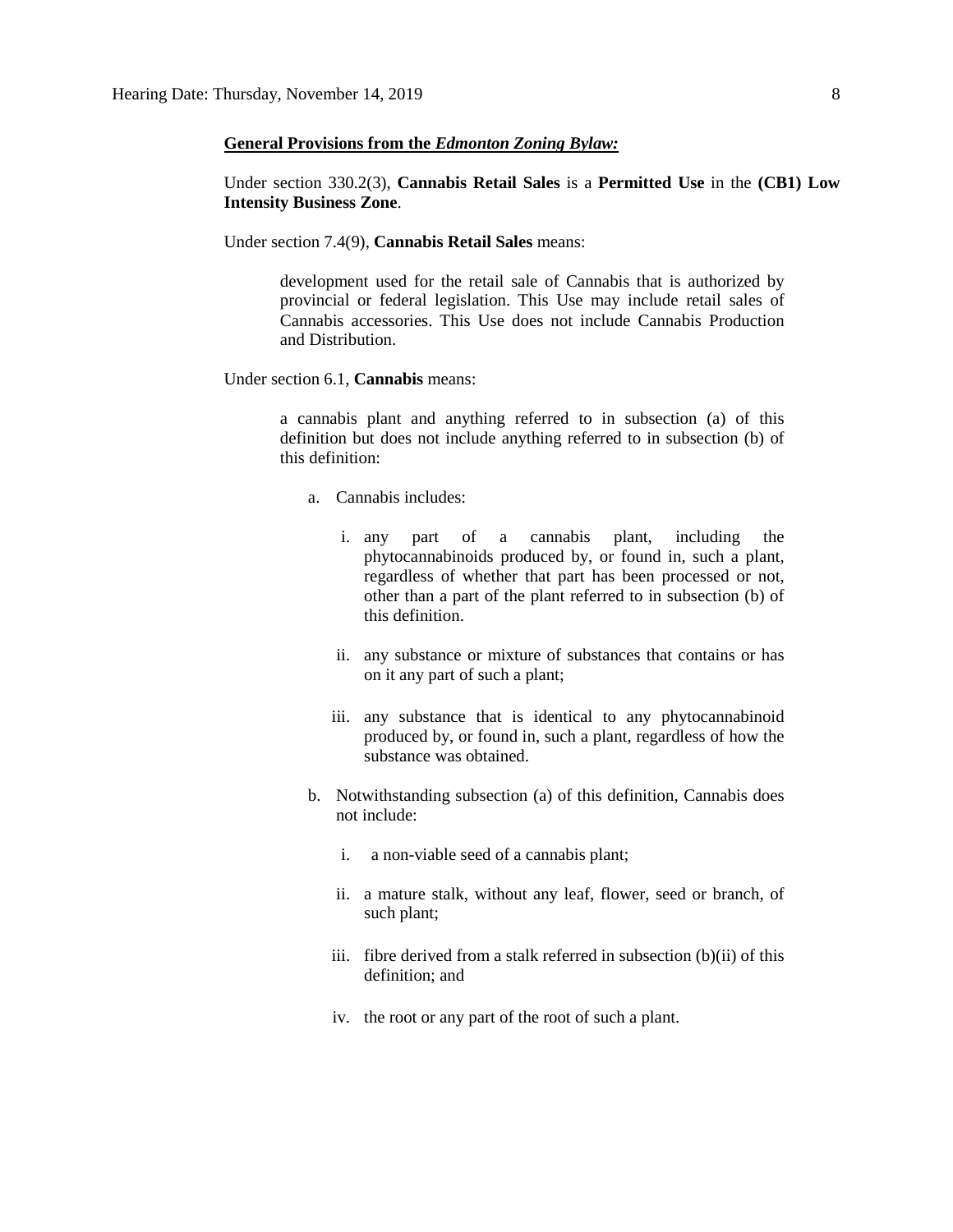#### **General Provisions from the** *Edmonton Zoning Bylaw:*

Under section 330.2(3), **Cannabis Retail Sales** is a **Permitted Use** in the **(CB1) Low Intensity Business Zone**.

Under section 7.4(9), **Cannabis Retail Sales** means:

development used for the retail sale of Cannabis that is authorized by provincial or federal legislation. This Use may include retail sales of Cannabis accessories. This Use does not include Cannabis Production and Distribution.

Under section 6.1, **Cannabis** means:

a cannabis plant and anything referred to in subsection (a) of this definition but does not include anything referred to in subsection (b) of this definition:

- a. Cannabis includes:
	- i. any part of a cannabis plant, including the phytocannabinoids produced by, or found in, such a plant, regardless of whether that part has been processed or not, other than a part of the plant referred to in subsection (b) of this definition.
	- ii. any substance or mixture of substances that contains or has on it any part of such a plant;
	- iii. any substance that is identical to any phytocannabinoid produced by, or found in, such a plant, regardless of how the substance was obtained.
- b. Notwithstanding subsection (a) of this definition, Cannabis does not include:
	- i. a non-viable seed of a cannabis plant;
	- ii. a mature stalk, without any leaf, flower, seed or branch, of such plant;
	- iii. fibre derived from a stalk referred in subsection (b)(ii) of this definition; and
	- iv. the root or any part of the root of such a plant.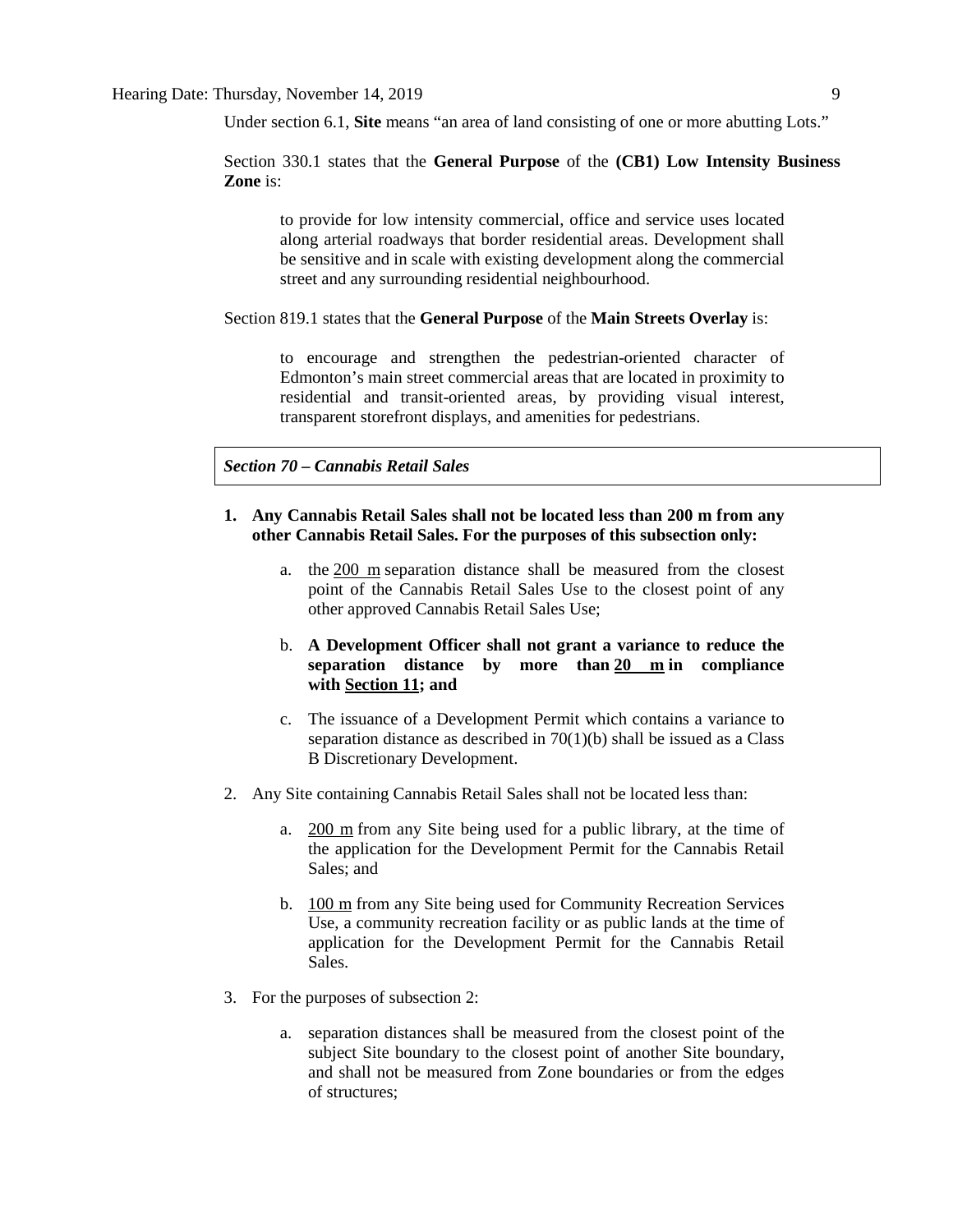Under section 6.1, **Site** means "an area of land consisting of one or more abutting Lots."

# Section 330.1 states that the **General Purpose** of the **(CB1) Low Intensity Business Zone** is:

to provide for low intensity commercial, office and service uses located along arterial roadways that border residential areas. Development shall be sensitive and in scale with existing development along the commercial street and any surrounding residential neighbourhood.

#### Section 819.1 states that the **General Purpose** of the **Main Streets Overlay** is:

to encourage and strengthen the pedestrian-oriented character of Edmonton's main street commercial areas that are located in proximity to residential and transit-oriented areas, by providing visual interest, transparent storefront displays, and amenities for pedestrians.

# *Section 70 – Cannabis Retail Sales*

# **1. Any Cannabis Retail Sales shall not be located less than 200 m from any other Cannabis Retail Sales. For the purposes of this subsection only:**

a. the [200 m](javascript:void(0);) separation distance shall be measured from the closest point of the Cannabis Retail Sales Use to the closest point of any other approved Cannabis Retail Sales Use;

# b. **A Development Officer shall not grant a variance to reduce the separation distance by more than [20 m](javascript:void(0);) in compliance with [Section 11;](https://webdocs.edmonton.ca/InfraPlan/zoningbylaw/ZoningBylaw/Part1/Administrative/11__Authority_and_Responsibility_of_the_Development_Officer.htm) and**

- c. The issuance of a Development Permit which contains a variance to separation distance as described in 70(1)(b) shall be issued as a Class B Discretionary Development.
- 2. Any Site containing Cannabis Retail Sales shall not be located less than:
	- a. [200 m](javascript:void(0);) from any Site being used for a public library, at the time of the application for the Development Permit for the Cannabis Retail Sales; and
	- b. [100 m](javascript:void(0);) from any Site being used for Community Recreation Services Use, a community recreation facility or as public lands at the time of application for the Development Permit for the Cannabis Retail Sales.
- 3. For the purposes of subsection 2:
	- a. separation distances shall be measured from the closest point of the subject Site boundary to the closest point of another Site boundary, and shall not be measured from Zone boundaries or from the edges of structures;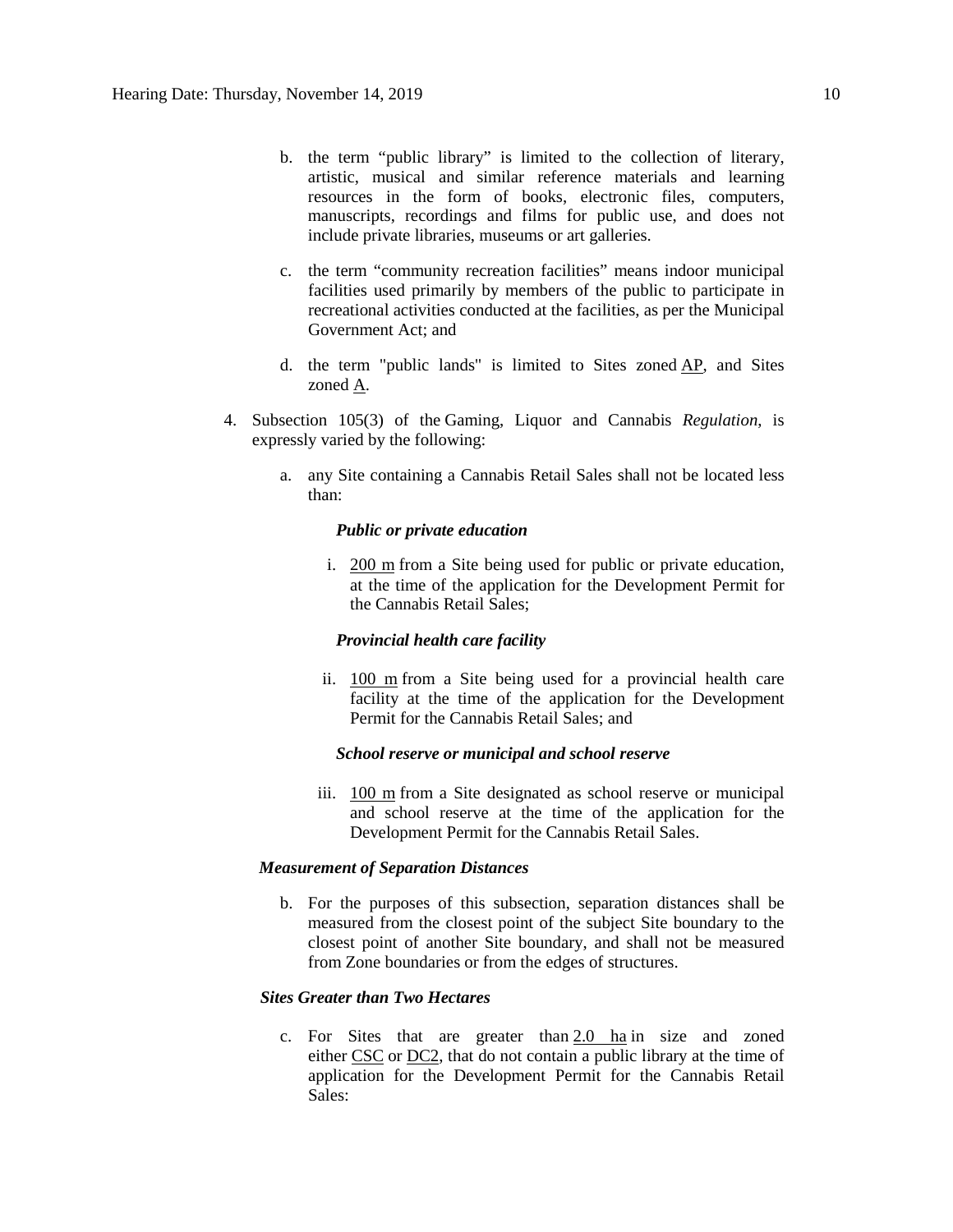- b. the term "public library" is limited to the collection of literary, artistic, musical and similar reference materials and learning resources in the form of books, electronic files, computers, manuscripts, recordings and films for public use, and does not include private libraries, museums or art galleries.
- c. the term "community recreation facilities" means indoor municipal facilities used primarily by members of the public to participate in recreational activities conducted at the facilities, as per the Municipal Government Act; and
- d. the term "public lands" is limited to Sites zoned  $AP$ , and Sites zoned [A.](https://webdocs.edmonton.ca/InfraPlan/zoningbylaw/ZoningBylaw/Part2/Urban/540_(A)_Metropolitan_Recreation_Zone.htm)
- 4. Subsection 105(3) of the Gaming, Liquor and Cannabis *Regulation*, is expressly varied by the following:
	- a. any Site containing a Cannabis Retail Sales shall not be located less than:

#### *Public or private education*

i. [200 m](javascript:void(0);) from a Site being used for public or private education, at the time of the application for the Development Permit for the Cannabis Retail Sales;

#### *Provincial health care facility*

ii. [100 m](javascript:void(0);) from a Site being used for a provincial health care facility at the time of the application for the Development Permit for the Cannabis Retail Sales; and

## *School reserve or municipal and school reserve*

iii. [100 m](javascript:void(0);) from a Site designated as school reserve or municipal and school reserve at the time of the application for the Development Permit for the Cannabis Retail Sales.

#### *Measurement of Separation Distances*

b. For the purposes of this subsection, separation distances shall be measured from the closest point of the subject Site boundary to the closest point of another Site boundary, and shall not be measured from Zone boundaries or from the edges of structures.

#### *Sites Greater than Two Hectares*

c. For Sites that are greater than  $2.0$  ha in size and zoned either [CSC](https://webdocs.edmonton.ca/InfraPlan/zoningbylaw/ZoningBylaw/Part2/Commercial/320_(CSC)_Shopping_Centre_Zone.htm) or [DC2,](https://webdocs.edmonton.ca/InfraPlan/zoningbylaw/ZoningBylaw/Part2/Direct/720_(DC2)_Site_Specific_Development_Control_Provision.htm) that do not contain a public library at the time of application for the Development Permit for the Cannabis Retail Sales: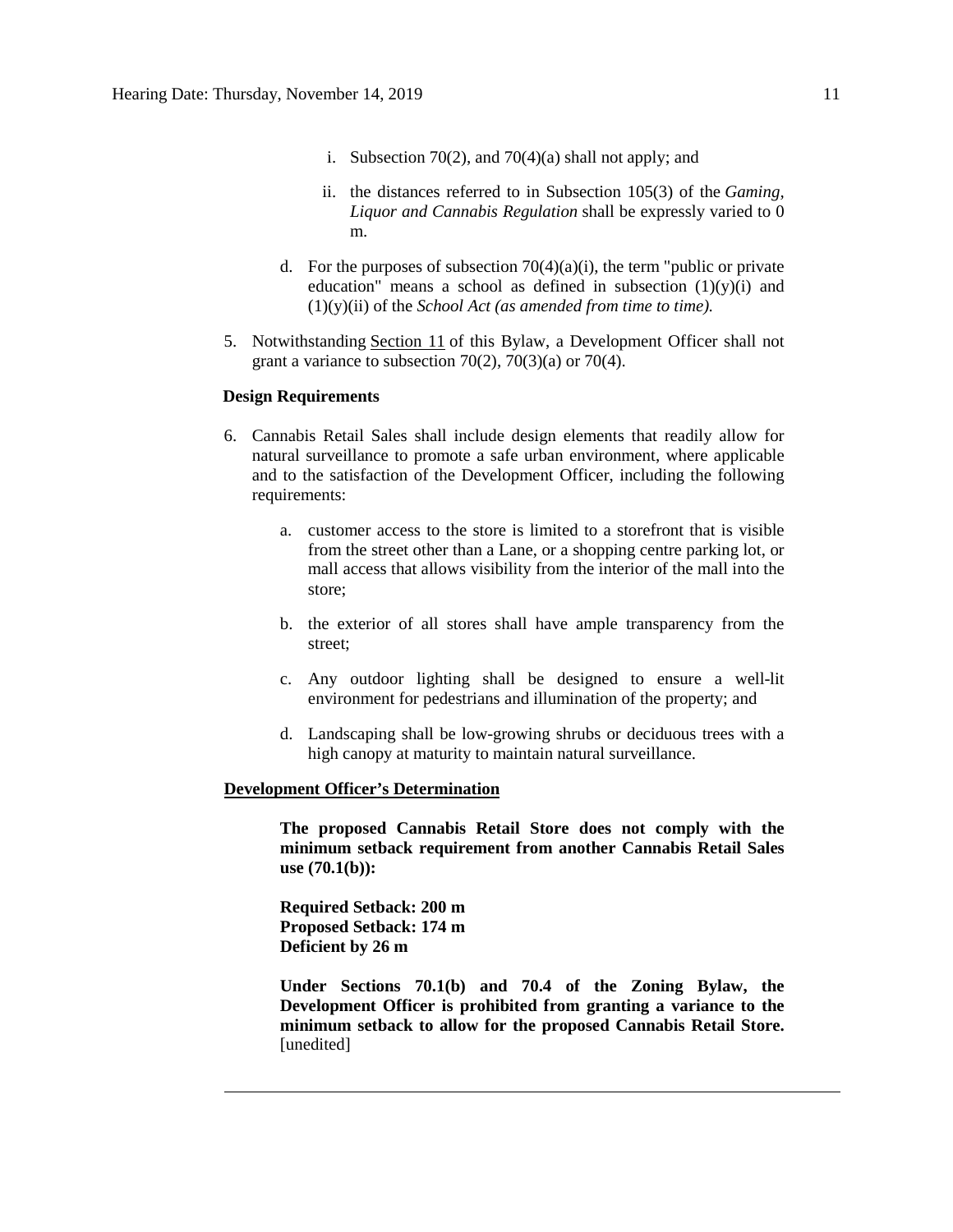- i. Subsection 70(2), and 70(4)(a) shall not apply; and
- ii. the distances referred to in Subsection 105(3) of the *Gaming, Liquor and Cannabis Regulation* shall be expressly varied to 0 m.
- d. For the purposes of subsection  $70(4)(a)(i)$ , the term "public or private education" means a school as defined in subsection  $(1)(y)(i)$  and (1)(y)(ii) of the *School Act (as amended from time to time).*
- 5. Notwithstanding [Section 11](https://webdocs.edmonton.ca/InfraPlan/zoningbylaw/ZoningBylaw/Part1/Administrative/11__Authority_and_Responsibility_of_the_Development_Officer.htm) of this Bylaw, a Development Officer shall not grant a variance to subsection  $70(2)$ ,  $70(3)(a)$  or  $70(4)$ .

## **Design Requirements**

- 6. Cannabis Retail Sales shall include design elements that readily allow for natural surveillance to promote a safe urban environment, where applicable and to the satisfaction of the Development Officer, including the following requirements:
	- a. customer access to the store is limited to a storefront that is visible from the street other than a Lane, or a shopping centre parking lot, or mall access that allows visibility from the interior of the mall into the store;
	- b. the exterior of all stores shall have ample transparency from the street;
	- c. Any outdoor lighting shall be designed to ensure a well-lit environment for pedestrians and illumination of the property; and
	- d. Landscaping shall be low-growing shrubs or deciduous trees with a high canopy at maturity to maintain natural surveillance.

#### **Development Officer's Determination**

**The proposed Cannabis Retail Store does not comply with the minimum setback requirement from another Cannabis Retail Sales use (70.1(b)):**

**Required Setback: 200 m Proposed Setback: 174 m Deficient by 26 m**

**Under Sections 70.1(b) and 70.4 of the Zoning Bylaw, the Development Officer is prohibited from granting a variance to the minimum setback to allow for the proposed Cannabis Retail Store.** [unedited]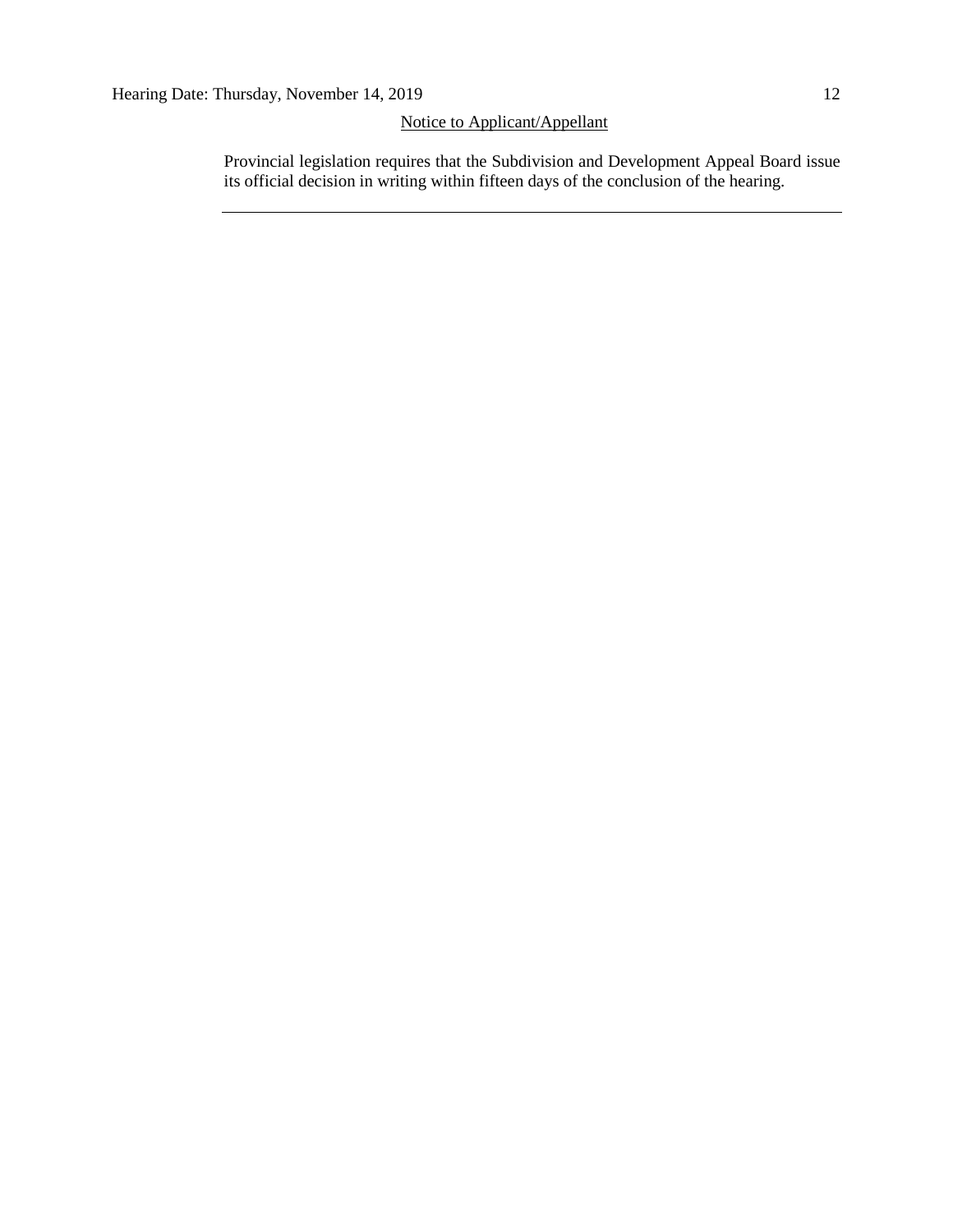# Notice to Applicant/Appellant

Provincial legislation requires that the Subdivision and Development Appeal Board issue its official decision in writing within fifteen days of the conclusion of the hearing.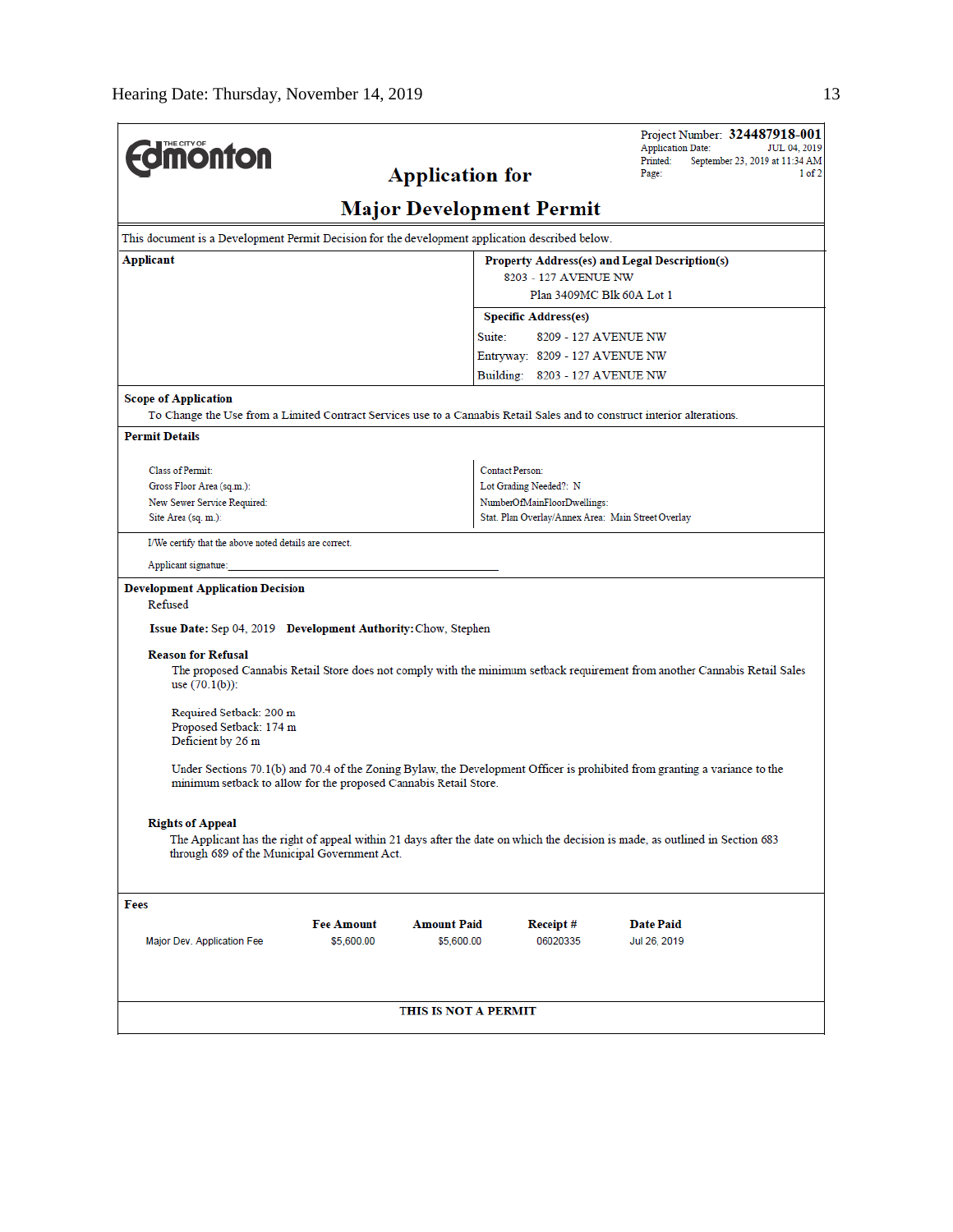|                                                                                                                                                         |                                                               |                        |                                                       | Project Number: 324487918-001<br><b>Application Date:</b><br>JUL 04, 2019                                                     |  |  |  |  |
|---------------------------------------------------------------------------------------------------------------------------------------------------------|---------------------------------------------------------------|------------------------|-------------------------------------------------------|-------------------------------------------------------------------------------------------------------------------------------|--|--|--|--|
| <b>Umonton</b>                                                                                                                                          | Printed:<br>September 23, 2019 at 11:34 AM<br>Page:<br>1 of 2 |                        |                                                       |                                                                                                                               |  |  |  |  |
|                                                                                                                                                         |                                                               | <b>Application for</b> |                                                       |                                                                                                                               |  |  |  |  |
| <b>Major Development Permit</b>                                                                                                                         |                                                               |                        |                                                       |                                                                                                                               |  |  |  |  |
| This document is a Development Permit Decision for the development application described below.                                                         |                                                               |                        |                                                       |                                                                                                                               |  |  |  |  |
| Applicant                                                                                                                                               |                                                               |                        | Property Address(es) and Legal Description(s)         |                                                                                                                               |  |  |  |  |
|                                                                                                                                                         |                                                               |                        | 8203 - 127 AVENUE NW                                  |                                                                                                                               |  |  |  |  |
|                                                                                                                                                         | Plan 3409MC Blk 60A Lot 1<br><b>Specific Address(es)</b>      |                        |                                                       |                                                                                                                               |  |  |  |  |
|                                                                                                                                                         |                                                               | Suite:                 | 8209 - 127 AVENUE NW                                  |                                                                                                                               |  |  |  |  |
|                                                                                                                                                         | Entryway: 8209 - 127 AVENUE NW                                |                        |                                                       |                                                                                                                               |  |  |  |  |
|                                                                                                                                                         |                                                               |                        | Building: 8203 - 127 AVENUE NW                        |                                                                                                                               |  |  |  |  |
|                                                                                                                                                         |                                                               |                        |                                                       |                                                                                                                               |  |  |  |  |
| <b>Scope of Application</b><br>To Change the Use from a Limited Contract Services use to a Cannabis Retail Sales and to construct interior alterations. |                                                               |                        |                                                       |                                                                                                                               |  |  |  |  |
| <b>Permit Details</b>                                                                                                                                   |                                                               |                        |                                                       |                                                                                                                               |  |  |  |  |
|                                                                                                                                                         |                                                               |                        |                                                       |                                                                                                                               |  |  |  |  |
| Class of Permit:                                                                                                                                        |                                                               | <b>Contact Person:</b> |                                                       |                                                                                                                               |  |  |  |  |
| Gross Floor Area (sq.m.):<br>New Sewer Service Required:                                                                                                |                                                               |                        | Lot Grading Needed?: N<br>NumberOfMainFloorDwellings: |                                                                                                                               |  |  |  |  |
| Site Area (sq. m.):                                                                                                                                     |                                                               |                        |                                                       | Stat. Plan Overlay/Annex Area: Main Street Overlay                                                                            |  |  |  |  |
| I/We certify that the above noted details are correct.                                                                                                  |                                                               |                        |                                                       |                                                                                                                               |  |  |  |  |
| Applicant signature:                                                                                                                                    |                                                               |                        |                                                       |                                                                                                                               |  |  |  |  |
| <b>Development Application Decision</b>                                                                                                                 |                                                               |                        |                                                       |                                                                                                                               |  |  |  |  |
| Refused                                                                                                                                                 |                                                               |                        |                                                       |                                                                                                                               |  |  |  |  |
| Issue Date: Sep 04, 2019 Development Authority: Chow, Stephen                                                                                           |                                                               |                        |                                                       |                                                                                                                               |  |  |  |  |
| <b>Reason for Refusal</b>                                                                                                                               |                                                               |                        |                                                       |                                                                                                                               |  |  |  |  |
| use $(70.1(b))$ :                                                                                                                                       |                                                               |                        |                                                       | The proposed Cannabis Retail Store does not comply with the minimum setback requirement from another Cannabis Retail Sales    |  |  |  |  |
| Required Setback: 200 m<br>Proposed Setback: 174 m<br>Deficient by 26 m                                                                                 |                                                               |                        |                                                       |                                                                                                                               |  |  |  |  |
| minimum setback to allow for the proposed Cannabis Retail Store.                                                                                        |                                                               |                        |                                                       | Under Sections 70.1(b) and 70.4 of the Zoning Bylaw, the Development Officer is prohibited from granting a variance to the    |  |  |  |  |
| <b>Rights of Appeal</b><br>through 689 of the Municipal Government Act.                                                                                 |                                                               |                        |                                                       | The Applicant has the right of appeal within 21 days after the date on which the decision is made, as outlined in Section 683 |  |  |  |  |
|                                                                                                                                                         |                                                               |                        |                                                       |                                                                                                                               |  |  |  |  |
| Fees                                                                                                                                                    |                                                               |                        |                                                       |                                                                                                                               |  |  |  |  |
|                                                                                                                                                         | <b>Fee Amount</b>                                             | <b>Amount Paid</b>     | Receipt #                                             | Date Paid                                                                                                                     |  |  |  |  |
| Major Dev. Application Fee                                                                                                                              | \$5,600.00                                                    | \$5,600.00             | 06020335                                              | Jul 26, 2019                                                                                                                  |  |  |  |  |
| THIS IS NOT A PERMIT                                                                                                                                    |                                                               |                        |                                                       |                                                                                                                               |  |  |  |  |
|                                                                                                                                                         |                                                               |                        |                                                       |                                                                                                                               |  |  |  |  |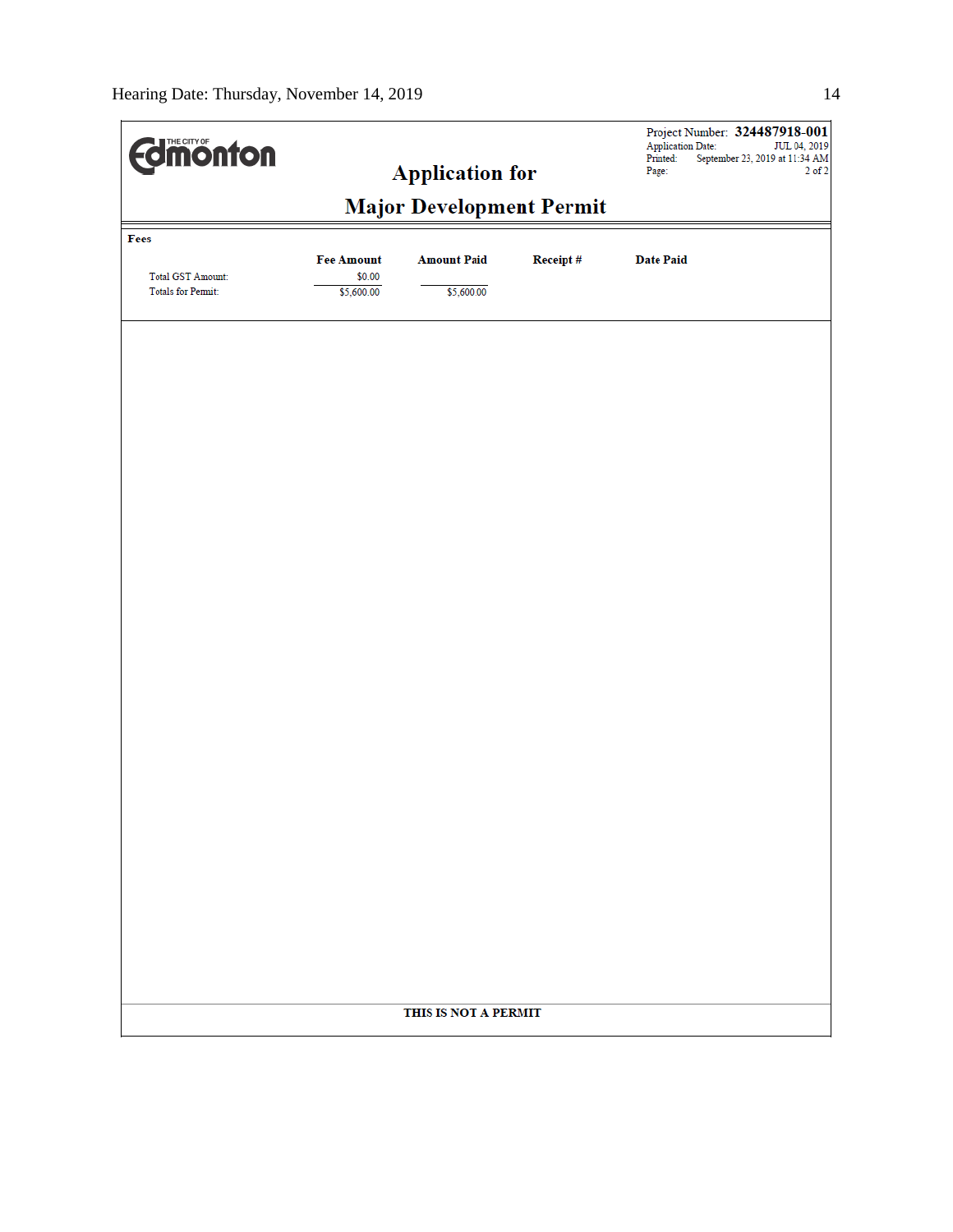| <b>difficiónton</b>       |                             | <b>Application for</b>          |          | Project Number: 324487918-001<br><b>Application Date:</b><br>JUL 04, 2019<br>Printed:<br>September 23, 2019 at 11:34 AM<br>$2$ of $2$<br>Page: |  |  |  |  |
|---------------------------|-----------------------------|---------------------------------|----------|------------------------------------------------------------------------------------------------------------------------------------------------|--|--|--|--|
|                           |                             | <b>Major Development Permit</b> |          |                                                                                                                                                |  |  |  |  |
| Fees                      |                             |                                 |          |                                                                                                                                                |  |  |  |  |
| <b>Total GST Amount:</b>  | <b>Fee Amount</b><br>\$0.00 | <b>Amount Paid</b>              | Receipt# | <b>Date Paid</b>                                                                                                                               |  |  |  |  |
| <b>Totals for Permit:</b> | \$5,600.00                  | \$5,600.00                      |          |                                                                                                                                                |  |  |  |  |
|                           |                             |                                 |          |                                                                                                                                                |  |  |  |  |
|                           |                             |                                 |          |                                                                                                                                                |  |  |  |  |
|                           |                             |                                 |          |                                                                                                                                                |  |  |  |  |
|                           |                             |                                 |          |                                                                                                                                                |  |  |  |  |
|                           |                             |                                 |          |                                                                                                                                                |  |  |  |  |
|                           |                             |                                 |          |                                                                                                                                                |  |  |  |  |
|                           |                             |                                 |          |                                                                                                                                                |  |  |  |  |
|                           |                             |                                 |          |                                                                                                                                                |  |  |  |  |
|                           |                             |                                 |          |                                                                                                                                                |  |  |  |  |
|                           |                             |                                 |          |                                                                                                                                                |  |  |  |  |
|                           |                             |                                 |          |                                                                                                                                                |  |  |  |  |
|                           |                             |                                 |          |                                                                                                                                                |  |  |  |  |
|                           |                             |                                 |          |                                                                                                                                                |  |  |  |  |
|                           |                             |                                 |          |                                                                                                                                                |  |  |  |  |
|                           |                             |                                 |          |                                                                                                                                                |  |  |  |  |
|                           |                             |                                 |          |                                                                                                                                                |  |  |  |  |
|                           |                             |                                 |          |                                                                                                                                                |  |  |  |  |
|                           |                             |                                 |          |                                                                                                                                                |  |  |  |  |
|                           |                             |                                 |          |                                                                                                                                                |  |  |  |  |
|                           |                             |                                 |          |                                                                                                                                                |  |  |  |  |
|                           |                             |                                 |          |                                                                                                                                                |  |  |  |  |
|                           |                             |                                 |          |                                                                                                                                                |  |  |  |  |
|                           |                             | THIS IS NOT A PERMIT            |          |                                                                                                                                                |  |  |  |  |
|                           |                             |                                 |          |                                                                                                                                                |  |  |  |  |